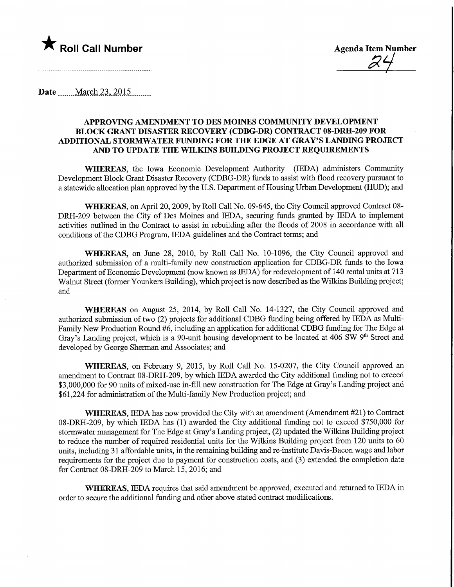

Roll Call Number Agenda Item Number Agenda Item Number

Date ........March 23,.2Q15,

## APPROVING AMENDMENT TO DES MOINES COMMUNITY DEVELOPMENT BLOCK GRANT DISASTER RECOVERY (CDBG-DR) CONTRACT 08-DRH-209 FOR ADDITIONAL STORMWATER FUNDING FOR THE EDGE AT GRAY'S LANDING PROJECT AND TO UPDATE THE WILKINS BUILDING PROJECT REQUIREMENTS

WHEREAS, the Iowa Economic Development Authority (IEDA) administers Community Development Block Grant Disaster Recovery (CDBG-DR) funds to assist with flood recovery pursuant to a statewide allocation plan approved by the U.S. Department of Housing Urban Development (HUD); and

WHEREAS, on April 20, 2009, by Roll Call No. 09-645, the City Council approved Contract 08- DRH-209 between the City of Des Moines and IEDA, securing funds granted by IEDA to implement activities outlined in the Contract to assist in rebuilding after the floods of 2008 in accordance with all conditions of the CDBG Program, IEDA guidelines and the Contract terms; and

WHEREAS, on June 28, 2010, by Roll Call No. 10-1096, the City Council approved and authorized submission of a multi-family new construction application for CDBG-DR funds to the Iowa Department of Economic Development (now known as IEDA) for redevelopment of 140 rental units at 713 Walnut Street (former Younkers Building), which project is now described as the Wilkins Building project; and

WHEREAS on August 25, 2014, by Roll Call No. 14-1327, the City Council approved and authorized submission of two (2) projects for additional CDBG funding being offered by IEDA as Multi-Family New Production Round #6, including an application for additional CDBG funding for The Edge at Gray's Landing project, which is a 90-unit housing development to be located at 406 SW 9<sup>th</sup> Street and developed by George Sherman and Associates; and

WHEREAS, on February 9, 2015, by Roll Call No. 15-0207, the City Council approved an amendment to Contract 08-DRH-209, by which IEDA awarded the City additional funding not to exceed \$3,000,000 for 90 units of mixed-use in-fill new construction for The Edge at Gray's Landing project and \$61,224 for administration of the Multi-family New Production project; and

WHEREAS, IEDA has now provided the City with an amendment (Amendment #21) to Contract 08-DRH-209, by which IEDA has (1) awarded the City additional funding not to exceed \$750,000 for stormwater management for The Edge at Gray's Landing project, (2) updated the Wilkins Building project to reduce the number of required residential units for the Wilkins Building project from 120 units to 60 units, including 31 affordable units, in the remaining building and re-institute Davis-Bacon wage and labor requirements for the project due to payment for construction costs, and (3) extended the completion date for Contract 08-DRH-209 to March 15, 2016; and

WHEREAS, IEDA requires that said amendment be approved, executed and returned to IEDA in order to secure the additional fimdmg and other above-stated contract modifications.